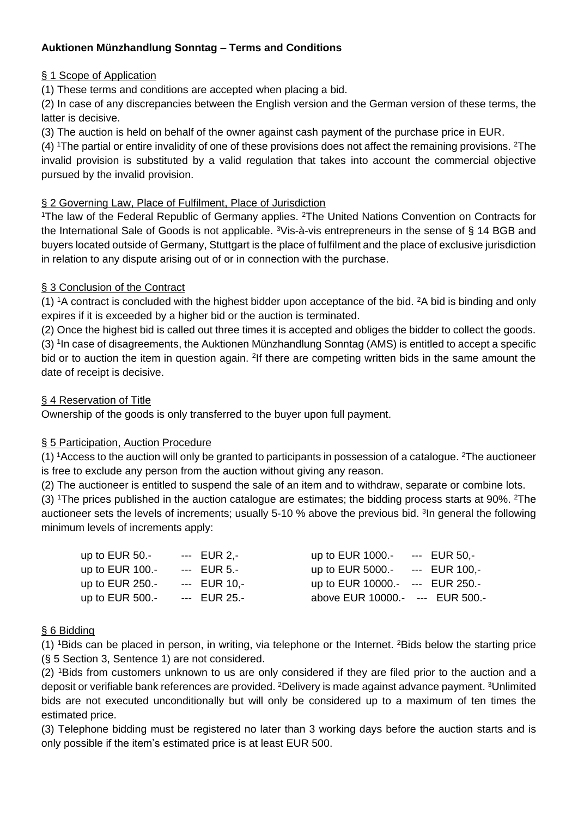# **Auktionen Münzhandlung Sonntag – Terms and Conditions**

## § 1 Scope of Application

(1) These terms and conditions are accepted when placing a bid.

(2) In case of any discrepancies between the English version and the German version of these terms, the latter is decisive.

(3) The auction is held on behalf of the owner against cash payment of the purchase price in EUR.

(4) <sup>1</sup>The partial or entire invalidity of one of these provisions does not affect the remaining provisions. <sup>2</sup>The invalid provision is substituted by a valid regulation that takes into account the commercial objective pursued by the invalid provision.

### § 2 Governing Law, Place of Fulfilment, Place of Jurisdiction

<sup>1</sup>The law of the Federal Republic of Germany applies. <sup>2</sup>The United Nations Convention on Contracts for the International Sale of Goods is not applicable. <sup>3</sup>Vis-à-vis entrepreneurs in the sense of § 14 BGB and buyers located outside of Germany, Stuttgart is the place of fulfilment and the place of exclusive jurisdiction in relation to any dispute arising out of or in connection with the purchase.

## § 3 Conclusion of the Contract

(1) <sup>1</sup>A contract is concluded with the highest bidder upon acceptance of the bid. <sup>2</sup>A bid is binding and only expires if it is exceeded by a higher bid or the auction is terminated.

(2) Once the highest bid is called out three times it is accepted and obliges the bidder to collect the goods. (3) <sup>1</sup>In case of disagreements, the Auktionen Münzhandlung Sonntag (AMS) is entitled to accept a specific bid or to auction the item in question again. <sup>2</sup>If there are competing written bids in the same amount the date of receipt is decisive.

## § 4 Reservation of Title

Ownership of the goods is only transferred to the buyer upon full payment.

#### § 5 Participation, Auction Procedure

(1) <sup>1</sup>Access to the auction will only be granted to participants in possession of a catalogue. <sup>2</sup>The auctioneer is free to exclude any person from the auction without giving any reason.

(2) The auctioneer is entitled to suspend the sale of an item and to withdraw, separate or combine lots.

(3) <sup>1</sup>The prices published in the auction catalogue are estimates; the bidding process starts at 90%. <sup>2</sup>The auctioneer sets the levels of increments; usually 5-10 % above the previous bid. <sup>3</sup> In general the following minimum levels of increments apply:

| up to $EUR$ 50.-  | --- EUR 2,-  | up to EUR 1000.- --- EUR 50,-   |  |
|-------------------|--------------|---------------------------------|--|
| up to $EUR$ 100.- | --- EUR 5.-  | up to EUR 5000.- --- EUR 100,-  |  |
| up to $EUR$ 250.- | --- EUR 10.- | up to EUR 10000.- --- EUR 250.- |  |
| up to $EUR$ 500.- | --- EUR 25.- | above EUR 10000.- --- EUR 500.- |  |

## § 6 Bidding

(1) <sup>1</sup>Bids can be placed in person, in writing, via telephone or the Internet. <sup>2</sup>Bids below the starting price (§ 5 Section 3, Sentence 1) are not considered.

(2) <sup>1</sup>Bids from customers unknown to us are only considered if they are filed prior to the auction and a deposit or verifiable bank references are provided. <sup>2</sup>Delivery is made against advance payment. <sup>3</sup>Unlimited bids are not executed unconditionally but will only be considered up to a maximum of ten times the estimated price.

(3) Telephone bidding must be registered no later than 3 working days before the auction starts and is only possible if the item's estimated price is at least EUR 500.